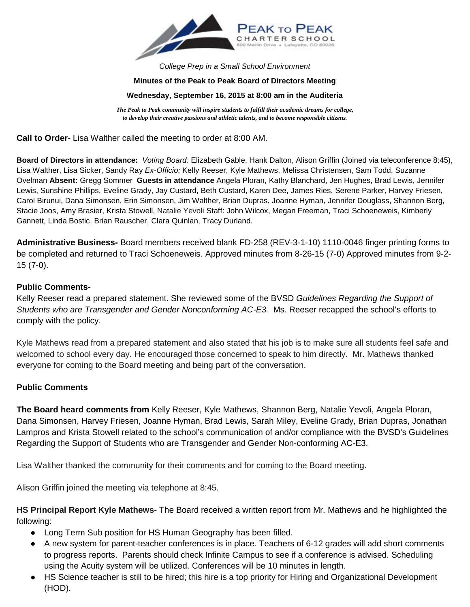

*College Prep in a Small School Environment*

### **Minutes of the Peak to Peak Board of Directors Meeting**

#### **Wednesday, September 16, 2015 at 8:00 am in the Auditeria**

*The Peak to Peak community will inspire students to fulfill their academic dreams for college, to develop their creative passions and athletic talents, and to become responsible citizens.*

**Call to Order**- Lisa Walther called the meeting to order at 8:00 AM.

**Board of Directors in attendance:** *Voting Board:* Elizabeth Gable, Hank Dalton, Alison Griffin (Joined via teleconference 8:45), Lisa Walther, Lisa Sicker, Sandy Ray *Ex-Officio:* Kelly Reeser, Kyle Mathews, Melissa Christensen, Sam Todd, Suzanne Ovelman **Absent:** Gregg Sommer **Guests in attendance** Angela Ploran, Kathy Blanchard, Jen Hughes, Brad Lewis, Jennifer Lewis, Sunshine Phillips, Eveline Grady, Jay Custard, Beth Custard, Karen Dee, James Ries, Serene Parker, Harvey Friesen, Carol Birunui, Dana Simonsen, Erin Simonsen, Jim Walther, Brian Dupras, Joanne Hyman, Jennifer Douglass, Shannon Berg, Stacie Joos, Amy Brasier, Krista Stowell, Natalie Yevoli Staff: John Wilcox, Megan Freeman, Traci Schoeneweis, Kimberly Gannett, Linda Bostic, Brian Rauscher, Clara Quinlan, Tracy Durland.

**Administrative Business-** Board members received blank FD-258 (REV-3-1-10) 1110-0046 finger printing forms to be completed and returned to Traci Schoeneweis. Approved minutes from 8-26-15 (7-0) Approved minutes from 9-2- 15 (7-0).

### **Public Comments-**

Kelly Reeser read a prepared statement. She reviewed some of the BVSD *Guidelines Regarding the Support of Students who are Transgender and Gender Nonconforming AC-E3.* Ms. Reeser recapped the school's efforts to comply with the policy.

Kyle Mathews read from a prepared statement and also stated that his job is to make sure all students feel safe and welcomed to school every day. He encouraged those concerned to speak to him directly. Mr. Mathews thanked everyone for coming to the Board meeting and being part of the conversation.

### **Public Comments**

**The Board heard comments from** Kelly Reeser, Kyle Mathews, Shannon Berg, Natalie Yevoli, Angela Ploran, Dana Simonsen, Harvey Friesen, Joanne Hyman, Brad Lewis, Sarah Miley, Eveline Grady, Brian Dupras, Jonathan Lampros and Krista Stowell related to the school's communication of and/or compliance with the BVSD's Guidelines Regarding the Support of Students who are Transgender and Gender Non-conforming AC-E3.

Lisa Walther thanked the community for their comments and for coming to the Board meeting.

Alison Griffin joined the meeting via telephone at 8:45.

**HS Principal Report Kyle Mathews-** The Board received a written report from Mr. Mathews and he highlighted the following:

- Long Term Sub position for HS Human Geography has been filled.
- A new system for parent-teacher conferences is in place. Teachers of 6-12 grades will add short comments to progress reports. Parents should check Infinite Campus to see if a conference is advised. Scheduling using the Acuity system will be utilized. Conferences will be 10 minutes in length.
- HS Science teacher is still to be hired; this hire is a top priority for Hiring and Organizational Development (HOD).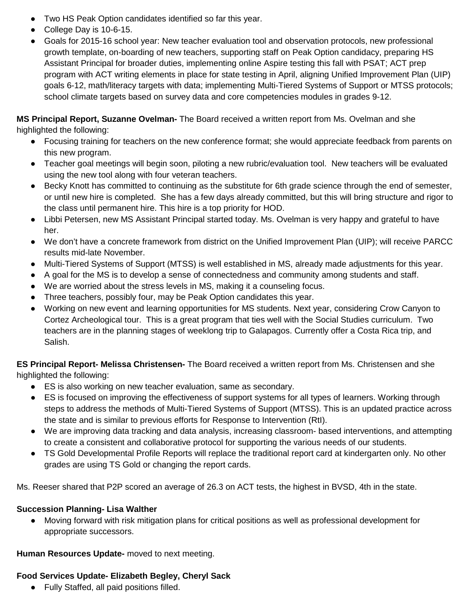- Two HS Peak Option candidates identified so far this year.
- College Day is 10-6-15.
- Goals for 2015-16 school year: New teacher evaluation tool and observation protocols, new professional growth template, on-boarding of new teachers, supporting staff on Peak Option candidacy, preparing HS Assistant Principal for broader duties, implementing online Aspire testing this fall with PSAT; ACT prep program with ACT writing elements in place for state testing in April, aligning Unified Improvement Plan (UIP) goals 6-12, math/literacy targets with data; implementing Multi-Tiered Systems of Support or MTSS protocols; school climate targets based on survey data and core competencies modules in grades 9-12.

# **MS Principal Report, Suzanne Ovelman-** The Board received a written report from Ms. Ovelman and she

highlighted the following:

- Focusing training for teachers on the new conference format; she would appreciate feedback from parents on this new program.
- Teacher goal meetings will begin soon, piloting a new rubric/evaluation tool. New teachers will be evaluated using the new tool along with four veteran teachers.
- Becky Knott has committed to continuing as the substitute for 6th grade science through the end of semester, or until new hire is completed. She has a few days already committed, but this will bring structure and rigor to the class until permanent hire. This hire is a top priority for HOD.
- Libbi Petersen, new MS Assistant Principal started today. Ms. Ovelman is very happy and grateful to have her.
- We don't have a concrete framework from district on the Unified Improvement Plan (UIP); will receive PARCC results mid-late November.
- Multi-Tiered Systems of Support (MTSS) is well established in MS, already made adjustments for this year.
- A goal for the MS is to develop a sense of connectedness and community among students and staff.
- We are worried about the stress levels in MS, making it a counseling focus.
- Three teachers, possibly four, may be Peak Option candidates this year.
- Working on new event and learning opportunities for MS students. Next year, considering Crow Canyon to Cortez Archeological tour. This is a great program that ties well with the Social Studies curriculum. Two teachers are in the planning stages of weeklong trip to Galapagos. Currently offer a Costa Rica trip, and Salish.

**ES Principal Report- Melissa Christensen-** The Board received a written report from Ms. Christensen and she highlighted the following:

- ES is also working on new teacher evaluation, same as secondary.
- ES is focused on improving the effectiveness of support systems for all types of learners. Working through steps to address the methods of Multi-Tiered Systems of Support (MTSS). This is an updated practice across the state and is similar to previous efforts for Response to Intervention (RtI).
- We are improving data tracking and data analysis, increasing classroom- based interventions, and attempting to create a consistent and collaborative protocol for supporting the various needs of our students.
- TS Gold Developmental Profile Reports will replace the traditional report card at kindergarten only. No other grades are using TS Gold or changing the report cards.

Ms. Reeser shared that P2P scored an average of 26.3 on ACT tests, the highest in BVSD, 4th in the state.

## **Succession Planning- Lisa Walther**

● Moving forward with risk mitigation plans for critical positions as well as professional development for appropriate successors.

**Human Resources Update-** moved to next meeting.

## **Food Services Update- Elizabeth Begley, Cheryl Sack**

● Fully Staffed, all paid positions filled.